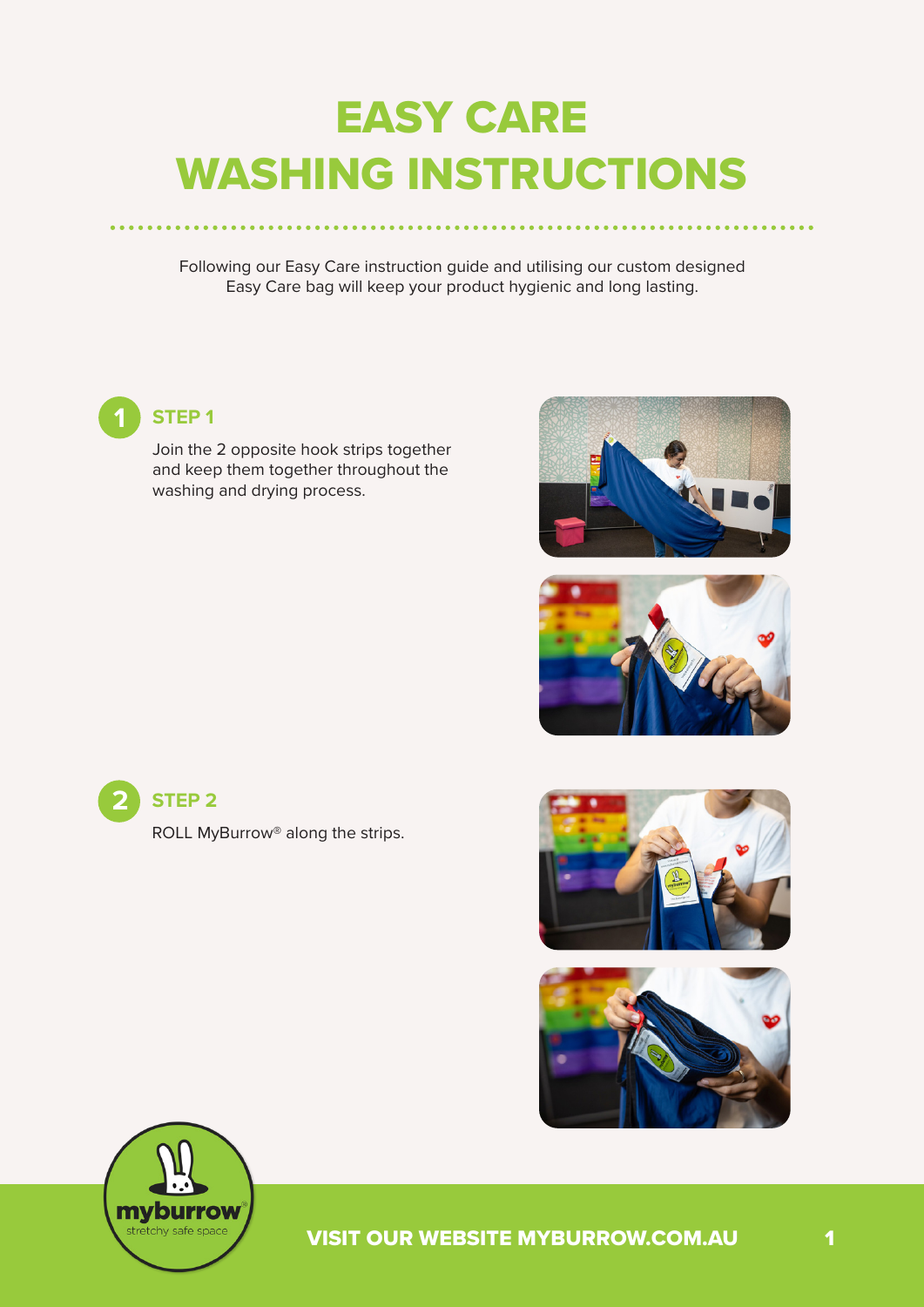# EASY CARE WASHING INSTRUCTIONS

Following our Easy Care instruction guide and utilising our custom designed Easy Care bag will keep your product hygienic and long lasting.



#### **1 STEP 1**

Join the 2 opposite hook strips together and keep them together throughout the washing and drying process.







ROLL MyBurrow® along the strips.







VISIT OUR WEBSITE MYBURROW.COM.AU 1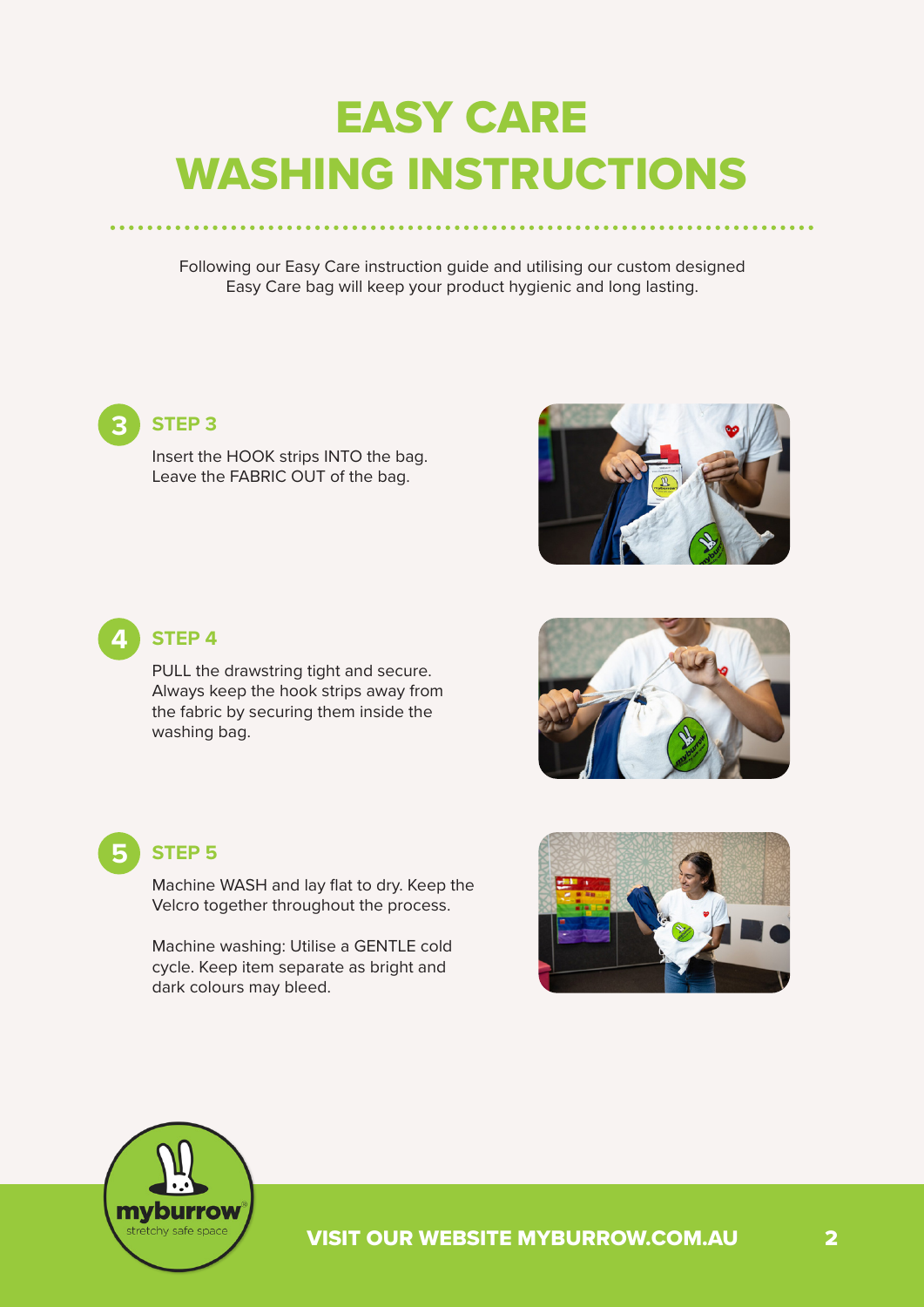# EASY CARE WASHING INSTRUCTIONS

Following our Easy Care instruction guide and utilising our custom designed Easy Care bag will keep your product hygienic and long lasting.

#### **3 STEP 3**

Insert the HOOK strips INTO the bag. Leave the FABRIC OUT of the bag.





#### **4 STEP 4**

PULL the drawstring tight and secure. Always keep the hook strips away from the fabric by securing them inside the washing bag.





#### **5 STEP 5**

Machine WASH and lay flat to dry. Keep the Velcro together throughout the process.

Machine washing: Utilise a GENTLE cold cycle. Keep item separate as bright and dark colours may bleed.



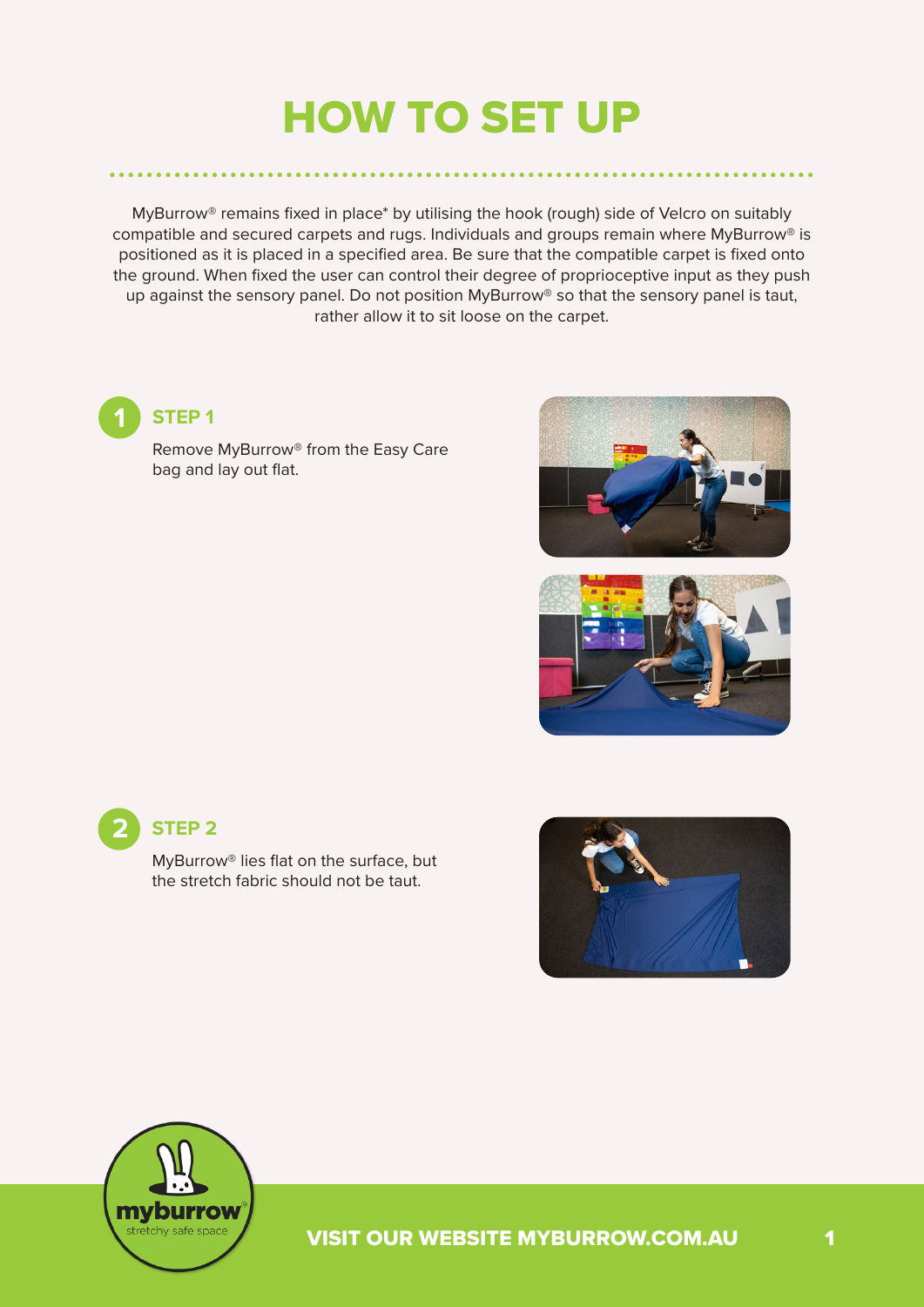### HOW TO SET UP

MyBurrow® remains fixed in place\* by utilising the hook (rough) side of Velcro on suitably compatible and secured carpets and rugs. Individuals and groups remain where MyBurrow® is positioned as it is placed in a specified area. Be sure that the compatible carpet is fixed onto the ground. When fixed the user can control their degree of proprioceptive input as they push up against the sensory panel. Do not position MyBurrow® so that the sensory panel is taut, rather allow it to sit loose on the carpet.



#### **1 STEP 1**

Remove MyBurrow® from the Easy Care bag and lay out flat.





#### **2 STEP 2**

MyBurrow® lies flat on the surface, but the stretch fabric should not be taut.